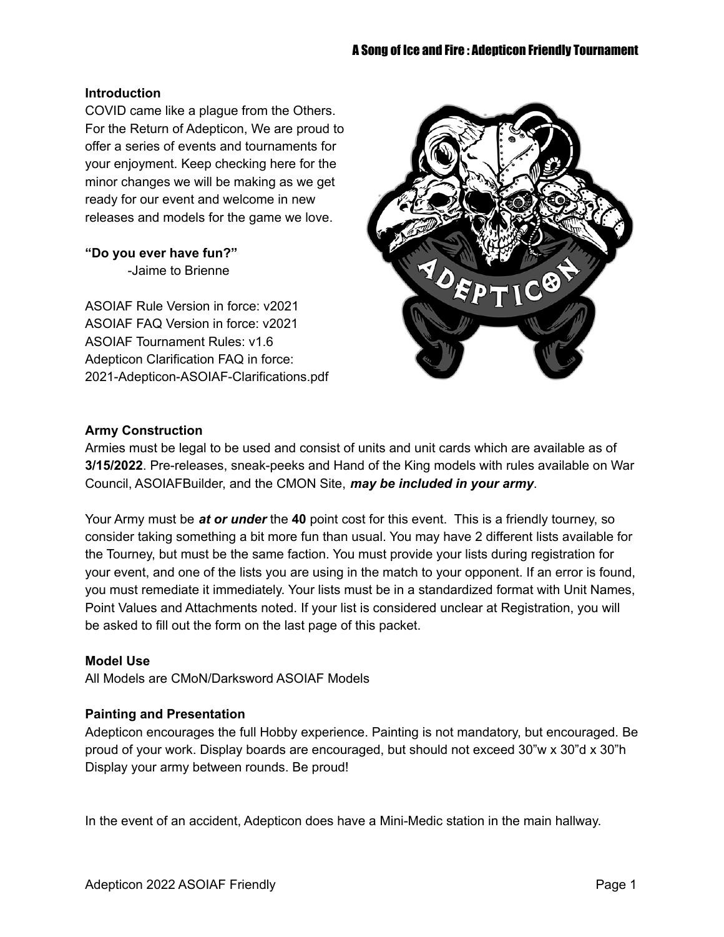#### **Introduction**

COVID came like a plague from the Others. For the Return of Adepticon, We are proud to offer a series of events and tournaments for your enjoyment. Keep checking here for the minor changes we will be making as we get ready for our event and welcome in new releases and models for the game we love.

#### **"Do you ever have fun?"**

-Jaime to Brienne

ASOIAF Rule Version in force: v2021 ASOIAF FAQ Version in force: v2021 ASOIAF Tournament Rules: v1.6 Adepticon Clarification FAQ in force: 2021-Adepticon-ASOIAF-Clarifications.pdf



#### **Army Construction**

Armies must be legal to be used and consist of units and unit cards which are available as of **3/15/2022**. Pre-releases, sneak-peeks and Hand of the King models with rules available on War Council, ASOIAFBuilder, and the CMON Site, *may be included in your army*.

Your Army must be *at or under* the **40** point cost for this event. This is a friendly tourney, so consider taking something a bit more fun than usual. You may have 2 different lists available for the Tourney, but must be the same faction. You must provide your lists during registration for your event, and one of the lists you are using in the match to your opponent. If an error is found, you must remediate it immediately. Your lists must be in a standardized format with Unit Names, Point Values and Attachments noted. If your list is considered unclear at Registration, you will be asked to fill out the form on the last page of this packet.

### **Model Use**

All Models are CMoN/Darksword ASOIAF Models

#### **Painting and Presentation**

Adepticon encourages the full Hobby experience. Painting is not mandatory, but encouraged. Be proud of your work. Display boards are encouraged, but should not exceed 30"w x 30"d x 30"h Display your army between rounds. Be proud!

In the event of an accident, Adepticon does have a Mini-Medic station in the main hallway.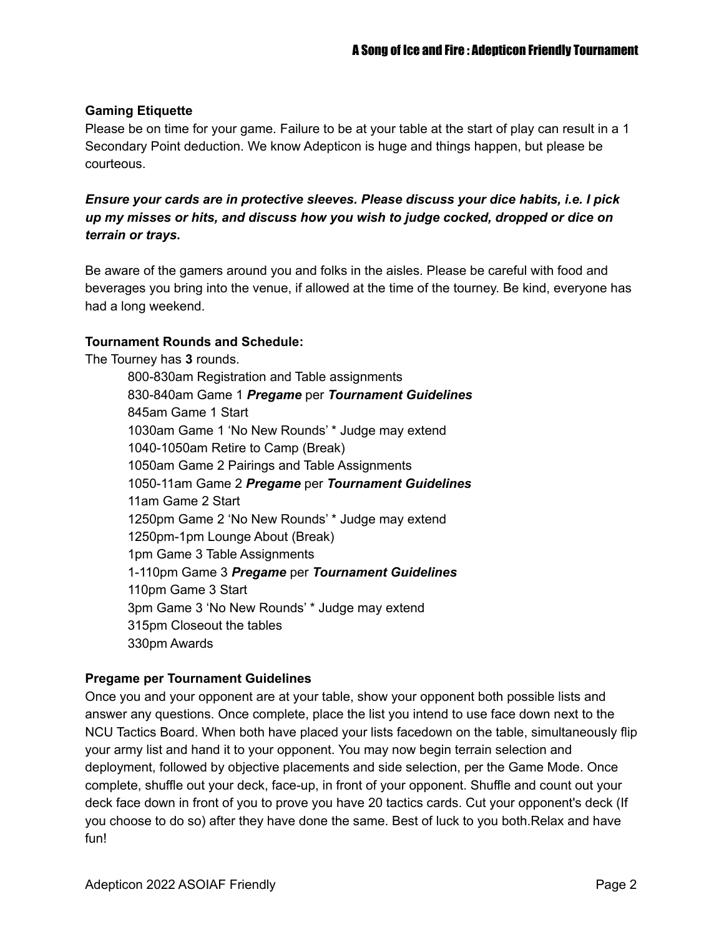#### **Gaming Etiquette**

Please be on time for your game. Failure to be at your table at the start of play can result in a 1 Secondary Point deduction. We know Adepticon is huge and things happen, but please be courteous.

*Ensure your cards are in protective sleeves. Please discuss your dice habits, i.e. I pick up my misses or hits, and discuss how you wish to judge cocked, dropped or dice on terrain or trays.*

Be aware of the gamers around you and folks in the aisles. Please be careful with food and beverages you bring into the venue, if allowed at the time of the tourney. Be kind, everyone has had a long weekend.

#### **Tournament Rounds and Schedule:**

The Tourney has **3** rounds.

800-830am Registration and Table assignments 830-840am Game 1 *Pregame* per *Tournament Guidelines* 845am Game 1 Start 1030am Game 1 'No New Rounds' \* Judge may extend 1040-1050am Retire to Camp (Break) 1050am Game 2 Pairings and Table Assignments 1050-11am Game 2 *Pregame* per *Tournament Guidelines* 11am Game 2 Start 1250pm Game 2 'No New Rounds' \* Judge may extend 1250pm-1pm Lounge About (Break) 1pm Game 3 Table Assignments 1-110pm Game 3 *Pregame* per *Tournament Guidelines* 110pm Game 3 Start 3pm Game 3 'No New Rounds' \* Judge may extend 315pm Closeout the tables 330pm Awards

#### **Pregame per Tournament Guidelines**

Once you and your opponent are at your table, show your opponent both possible lists and answer any questions. Once complete, place the list you intend to use face down next to the NCU Tactics Board. When both have placed your lists facedown on the table, simultaneously flip your army list and hand it to your opponent. You may now begin terrain selection and deployment, followed by objective placements and side selection, per the Game Mode. Once complete, shuffle out your deck, face-up, in front of your opponent. Shuffle and count out your deck face down in front of you to prove you have 20 tactics cards. Cut your opponent's deck (If you choose to do so) after they have done the same. Best of luck to you both.Relax and have fun!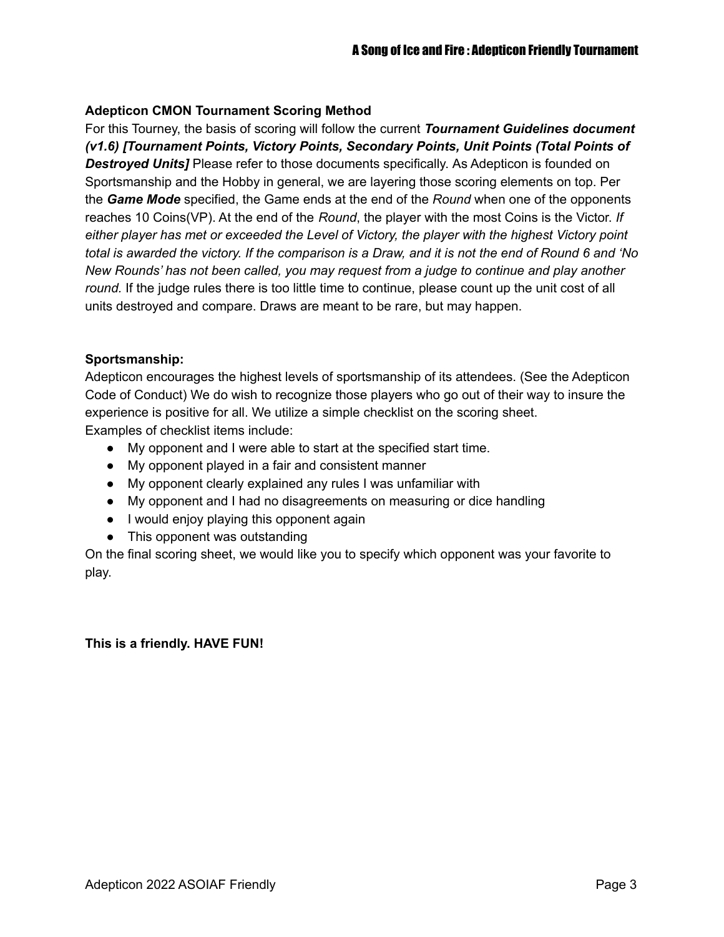#### **Adepticon CMON Tournament Scoring Method**

For this Tourney, the basis of scoring will follow the current *Tournament Guidelines document (v1.6) [Tournament Points, Victory Points, Secondary Points, Unit Points (Total Points of Destroyed Units]* Please refer to those documents specifically. As Adepticon is founded on Sportsmanship and the Hobby in general, we are layering those scoring elements on top. Per the *Game Mode* specified, the Game ends at the end of the *Round* when one of the opponents reaches 10 Coins(VP). At the end of the *Round*, the player with the most Coins is the Victor. *If either player has met or exceeded the Level of Victory, the player with the highest Victory point* total is awarded the victory. If the comparison is a Draw, and it is not the end of Round 6 and 'No *New Rounds' has not been called, you may request from a judge to continue and play another round.* If the judge rules there is too little time to continue, please count up the unit cost of all units destroyed and compare. Draws are meant to be rare, but may happen.

#### **Sportsmanship:**

Adepticon encourages the highest levels of sportsmanship of its attendees. (See the Adepticon Code of Conduct) We do wish to recognize those players who go out of their way to insure the experience is positive for all. We utilize a simple checklist on the scoring sheet. Examples of checklist items include:

- My opponent and I were able to start at the specified start time.
- My opponent played in a fair and consistent manner
- My opponent clearly explained any rules I was unfamiliar with
- My opponent and I had no disagreements on measuring or dice handling
- I would enjoy playing this opponent again
- This opponent was outstanding

On the final scoring sheet, we would like you to specify which opponent was your favorite to play.

#### **This is a friendly. HAVE FUN!**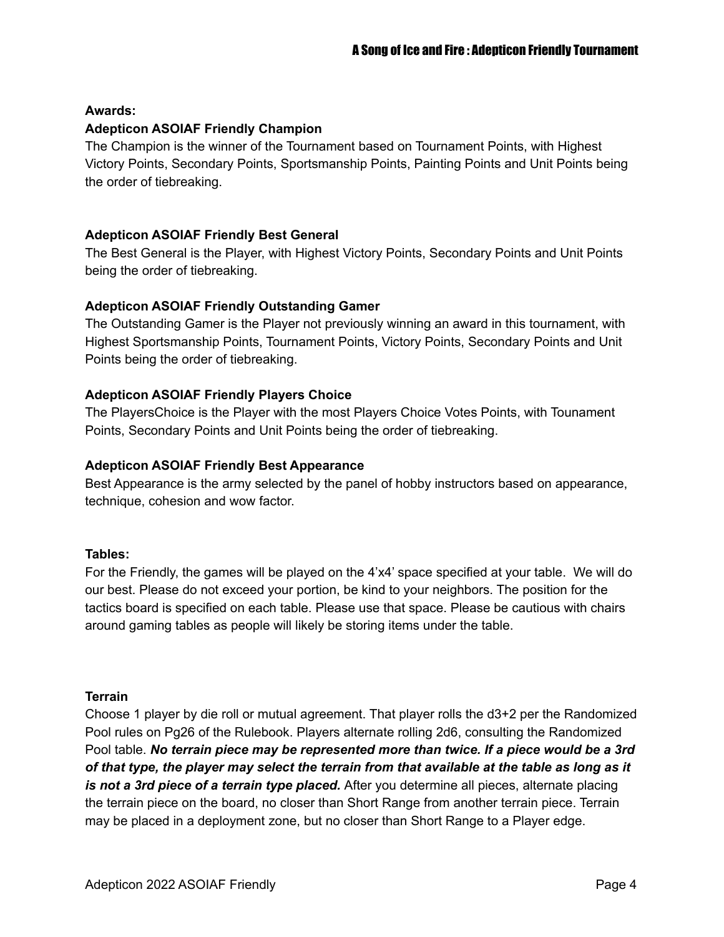#### **Awards:**

#### **Adepticon ASOIAF Friendly Champion**

The Champion is the winner of the Tournament based on Tournament Points, with Highest Victory Points, Secondary Points, Sportsmanship Points, Painting Points and Unit Points being the order of tiebreaking.

#### **Adepticon ASOIAF Friendly Best General**

The Best General is the Player, with Highest Victory Points, Secondary Points and Unit Points being the order of tiebreaking.

### **Adepticon ASOIAF Friendly Outstanding Gamer**

The Outstanding Gamer is the Player not previously winning an award in this tournament, with Highest Sportsmanship Points, Tournament Points, Victory Points, Secondary Points and Unit Points being the order of tiebreaking.

### **Adepticon ASOIAF Friendly Players Choice**

The PlayersChoice is the Player with the most Players Choice Votes Points, with Tounament Points, Secondary Points and Unit Points being the order of tiebreaking.

#### **Adepticon ASOIAF Friendly Best Appearance**

Best Appearance is the army selected by the panel of hobby instructors based on appearance, technique, cohesion and wow factor.

#### **Tables:**

For the Friendly, the games will be played on the 4'x4' space specified at your table. We will do our best. Please do not exceed your portion, be kind to your neighbors. The position for the tactics board is specified on each table. Please use that space. Please be cautious with chairs around gaming tables as people will likely be storing items under the table.

#### **Terrain**

Choose 1 player by die roll or mutual agreement. That player rolls the d3+2 per the Randomized Pool rules on Pg26 of the Rulebook. Players alternate rolling 2d6, consulting the Randomized Pool table. *No terrain piece may be represented more than twice. If a piece would be a 3rd* of that type, the player may select the terrain from that available at the table as long as it *is not a 3rd piece of a terrain type placed.* After you determine all pieces, alternate placing the terrain piece on the board, no closer than Short Range from another terrain piece. Terrain may be placed in a deployment zone, but no closer than Short Range to a Player edge.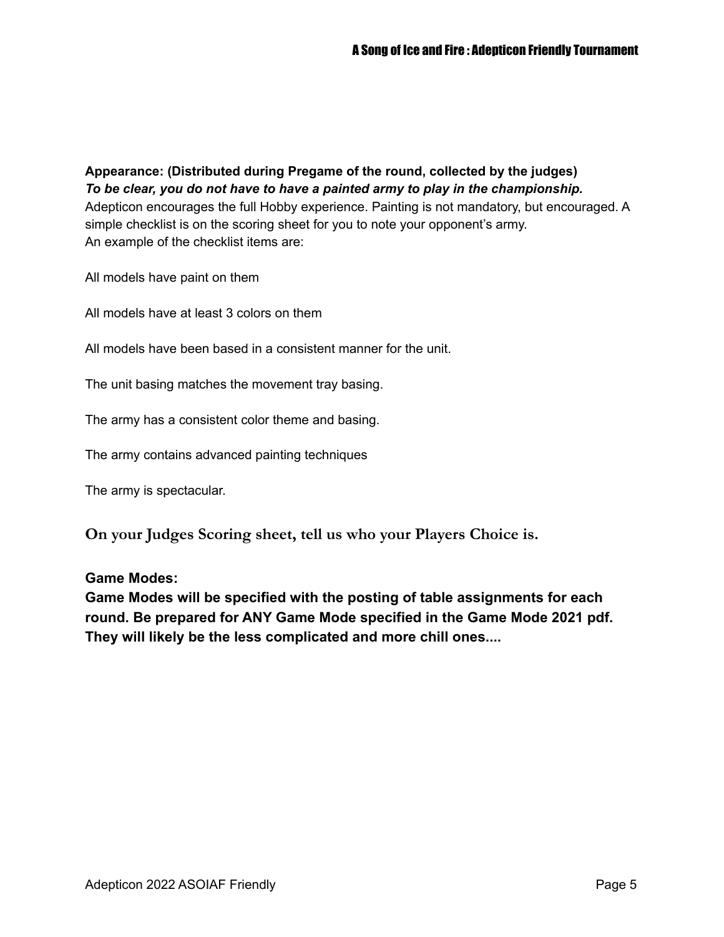**Appearance: (Distributed during Pregame of the round, collected by the judges)** *To be clear, you do not have to have a painted army to play in the championship.* Adepticon encourages the full Hobby experience. Painting is not mandatory, but encouraged. A simple checklist is on the scoring sheet for you to note your opponent's army. An example of the checklist items are:

All models have paint on them

All models have at least 3 colors on them

All models have been based in a consistent manner for the unit.

The unit basing matches the movement tray basing.

The army has a consistent color theme and basing.

The army contains advanced painting techniques

The army is spectacular.

**On your Judges Scoring sheet, tell us who your Players Choice is.**

#### **Game Modes:**

**Game Modes will be specified with the posting of table assignments for each round. Be prepared for ANY Game Mode specified in the Game Mode 2021 pdf. They will likely be the less complicated and more chill ones....**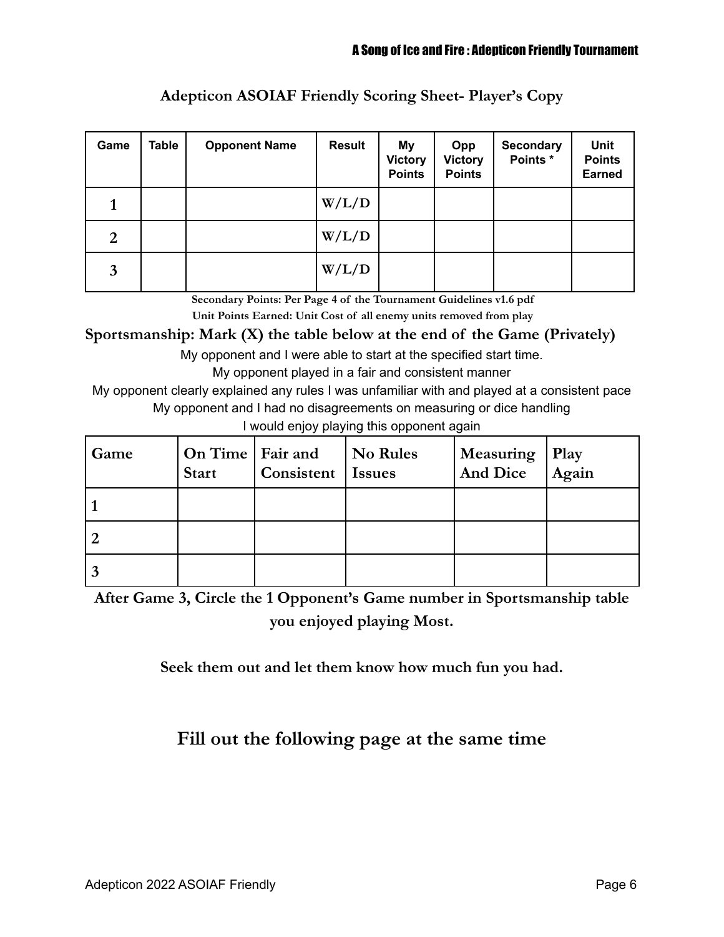| Game | Table | <b>Opponent Name</b> | <b>Result</b> | My<br><b>Victory</b><br><b>Points</b> | Opp<br><b>Victory</b><br><b>Points</b> | <b>Secondary</b><br>Points * | <b>Unit</b><br><b>Points</b><br><b>Earned</b> |
|------|-------|----------------------|---------------|---------------------------------------|----------------------------------------|------------------------------|-----------------------------------------------|
|      |       |                      | W/L/D         |                                       |                                        |                              |                                               |
| 2    |       |                      | W/L/D         |                                       |                                        |                              |                                               |
| 3    |       |                      | W/L/D         |                                       |                                        |                              |                                               |

## **Adepticon ASOIAF Friendly Scoring Sheet- Player's Copy**

**Secondary Points: Per Page 4 of the Tournament Guidelines v1.6 pdf Unit Points Earned: Unit Cost of all enemy units removed from play**

**Sportsmanship: Mark (X) the table below at the end of the Game (Privately)**

My opponent and I were able to start at the specified start time.

My opponent played in a fair and consistent manner

My opponent clearly explained any rules I was unfamiliar with and played at a consistent pace My opponent and I had no disagreements on measuring or dice handling

I would enjoy playing this opponent again

| Game | On Time   Fair and<br><b>Start</b> | Consistent   Issues | <b>No Rules</b> | Measuring<br>And Dice | Play<br>$\overline{A}$ gain |
|------|------------------------------------|---------------------|-----------------|-----------------------|-----------------------------|
|      |                                    |                     |                 |                       |                             |
|      |                                    |                     |                 |                       |                             |
|      |                                    |                     |                 |                       |                             |

**After Game 3, Circle the 1 Opponent's Game number in Sportsmanship table you enjoyed playing Most.**

**Seek them out and let them know how much fun you had.**

# **Fill out the following page at the same time**